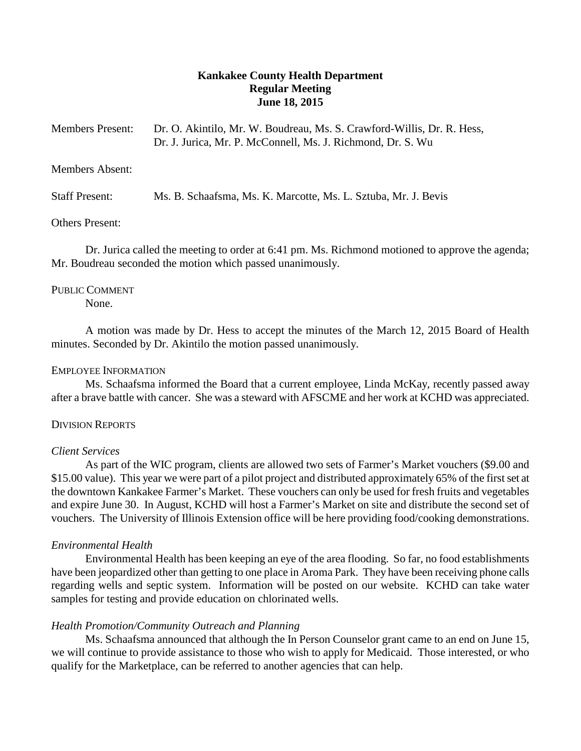# **Kankakee County Health Department Regular Meeting June 18, 2015**

| <b>Members Present:</b> | Dr. O. Akintilo, Mr. W. Boudreau, Ms. S. Crawford-Willis, Dr. R. Hess, |
|-------------------------|------------------------------------------------------------------------|
|                         | Dr. J. Jurica, Mr. P. McConnell, Ms. J. Richmond, Dr. S. Wu            |

## Members Absent:

Staff Present: Ms. B. Schaafsma, Ms. K. Marcotte, Ms. L. Sztuba, Mr. J. Bevis

### Others Present:

Dr. Jurica called the meeting to order at 6:41 pm. Ms. Richmond motioned to approve the agenda; Mr. Boudreau seconded the motion which passed unanimously.

## PUBLIC COMMENT

None.

A motion was made by Dr. Hess to accept the minutes of the March 12, 2015 Board of Health minutes. Seconded by Dr. Akintilo the motion passed unanimously.

### EMPLOYEE INFORMATION

Ms. Schaafsma informed the Board that a current employee, Linda McKay, recently passed away after a brave battle with cancer. She was a steward with AFSCME and her work at KCHD was appreciated.

### DIVISION REPORTS

## *Client Services*

As part of the WIC program, clients are allowed two sets of Farmer's Market vouchers (\$9.00 and \$15.00 value). This year we were part of a pilot project and distributed approximately 65% of the first set at the downtown Kankakee Farmer's Market. These vouchers can only be used for fresh fruits and vegetables and expire June 30. In August, KCHD will host a Farmer's Market on site and distribute the second set of vouchers. The University of Illinois Extension office will be here providing food/cooking demonstrations.

## *Environmental Health*

Environmental Health has been keeping an eye of the area flooding. So far, no food establishments have been jeopardized other than getting to one place in Aroma Park. They have been receiving phone calls regarding wells and septic system. Information will be posted on our website. KCHD can take water samples for testing and provide education on chlorinated wells.

## *Health Promotion/Community Outreach and Planning*

Ms. Schaafsma announced that although the In Person Counselor grant came to an end on June 15, we will continue to provide assistance to those who wish to apply for Medicaid. Those interested, or who qualify for the Marketplace, can be referred to another agencies that can help.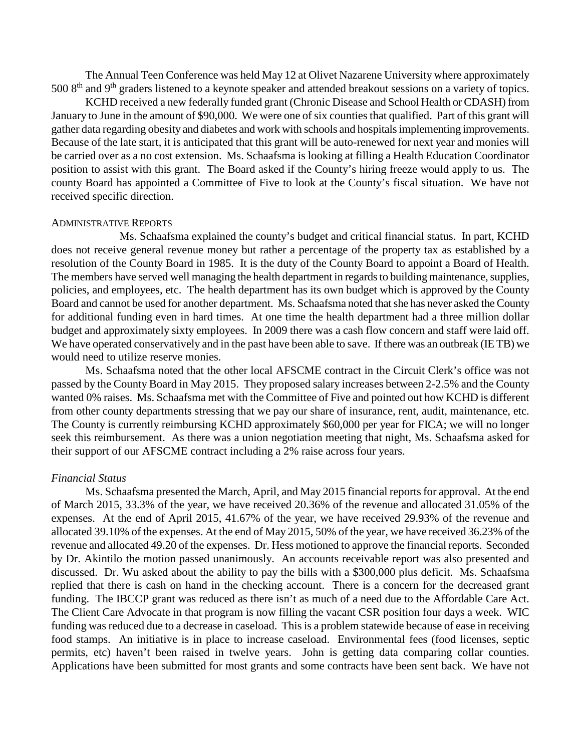The Annual Teen Conference was held May 12 at Olivet Nazarene University where approximately 500 8<sup>th</sup> and 9<sup>th</sup> graders listened to a keynote speaker and attended breakout sessions on a variety of topics.

KCHD received a new federally funded grant (Chronic Disease and School Health or CDASH) from January to June in the amount of \$90,000. We were one of six counties that qualified. Part of this grant will gather data regarding obesity and diabetes and work with schools and hospitals implementing improvements. Because of the late start, it is anticipated that this grant will be auto-renewed for next year and monies will be carried over as a no cost extension. Ms. Schaafsma is looking at filling a Health Education Coordinator position to assist with this grant. The Board asked if the County's hiring freeze would apply to us. The county Board has appointed a Committee of Five to look at the County's fiscal situation. We have not received specific direction.

### ADMINISTRATIVE REPORTS

Ms. Schaafsma explained the county's budget and critical financial status. In part, KCHD does not receive general revenue money but rather a percentage of the property tax as established by a resolution of the County Board in 1985. It is the duty of the County Board to appoint a Board of Health. The members have served well managing the health department in regards to building maintenance, supplies, policies, and employees, etc. The health department has its own budget which is approved by the County Board and cannot be used for another department. Ms. Schaafsma noted that she has never asked the County for additional funding even in hard times. At one time the health department had a three million dollar budget and approximately sixty employees. In 2009 there was a cash flow concern and staff were laid off. We have operated conservatively and in the past have been able to save. If there was an outbreak (IE TB) we would need to utilize reserve monies.

Ms. Schaafsma noted that the other local AFSCME contract in the Circuit Clerk's office was not passed by the County Board in May 2015. They proposed salary increases between 2-2.5% and the County wanted 0% raises. Ms. Schaafsma met with the Committee of Five and pointed out how KCHD is different from other county departments stressing that we pay our share of insurance, rent, audit, maintenance, etc. The County is currently reimbursing KCHD approximately \$60,000 per year for FICA; we will no longer seek this reimbursement. As there was a union negotiation meeting that night, Ms. Schaafsma asked for their support of our AFSCME contract including a 2% raise across four years.

#### *Financial Status*

Ms. Schaafsma presented the March, April, and May 2015 financial reports for approval. At the end of March 2015, 33.3% of the year, we have received 20.36% of the revenue and allocated 31.05% of the expenses. At the end of April 2015, 41.67% of the year, we have received 29.93% of the revenue and allocated 39.10% of the expenses. At the end of May 2015, 50% of the year, we have received 36.23% of the revenue and allocated 49.20 of the expenses. Dr. Hess motioned to approve the financial reports. Seconded by Dr. Akintilo the motion passed unanimously. An accounts receivable report was also presented and discussed. Dr. Wu asked about the ability to pay the bills with a \$300,000 plus deficit. Ms. Schaafsma replied that there is cash on hand in the checking account. There is a concern for the decreased grant funding. The IBCCP grant was reduced as there isn't as much of a need due to the Affordable Care Act. The Client Care Advocate in that program is now filling the vacant CSR position four days a week. WIC funding was reduced due to a decrease in caseload. This is a problem statewide because of ease in receiving food stamps. An initiative is in place to increase caseload. Environmental fees (food licenses, septic permits, etc) haven't been raised in twelve years. John is getting data comparing collar counties. Applications have been submitted for most grants and some contracts have been sent back. We have not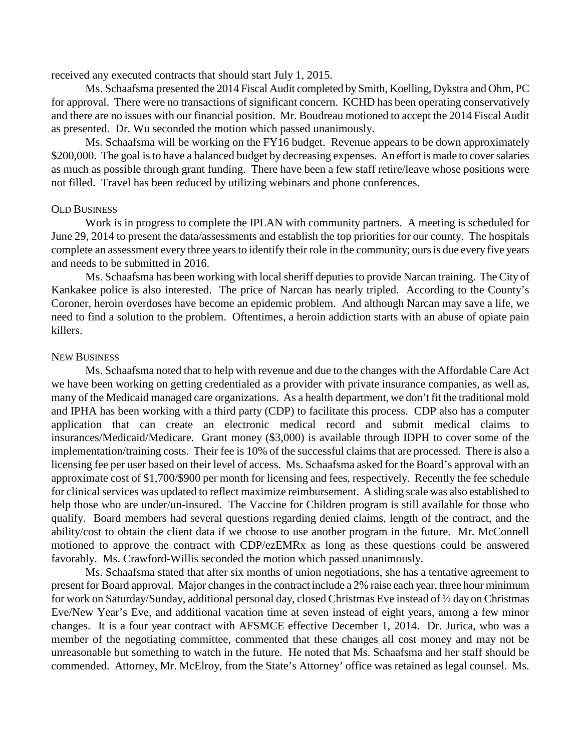received any executed contracts that should start July 1, 2015.

Ms. Schaafsma presented the 2014 Fiscal Audit completed by Smith, Koelling, Dykstra and Ohm, PC for approval. There were no transactions of significant concern. KCHD has been operating conservatively and there are no issues with our financial position. Mr. Boudreau motioned to accept the 2014 Fiscal Audit as presented. Dr. Wu seconded the motion which passed unanimously.

Ms. Schaafsma will be working on the FY16 budget. Revenue appears to be down approximately \$200,000. The goal is to have a balanced budget by decreasing expenses. An effort is made to cover salaries as much as possible through grant funding. There have been a few staff retire/leave whose positions were not filled. Travel has been reduced by utilizing webinars and phone conferences.

### OLD BUSINESS

Work is in progress to complete the IPLAN with community partners. A meeting is scheduled for June 29, 2014 to present the data/assessments and establish the top priorities for our county. The hospitals complete an assessment every three years to identify their role in the community; ours is due every five years and needs to be submitted in 2016.

Ms. Schaafsma has been working with local sheriff deputies to provide Narcan training. The City of Kankakee police is also interested. The price of Narcan has nearly tripled. According to the County's Coroner, heroin overdoses have become an epidemic problem. And although Narcan may save a life, we need to find a solution to the problem. Oftentimes, a heroin addiction starts with an abuse of opiate pain killers.

### NEW BUSINESS

Ms. Schaafsma noted that to help with revenue and due to the changes with the Affordable Care Act we have been working on getting credentialed as a provider with private insurance companies, as well as, many of the Medicaid managed care organizations. As a health department, we don't fit the traditional mold and IPHA has been working with a third party (CDP) to facilitate this process. CDP also has a computer application that can create an electronic medical record and submit medical claims to insurances/Medicaid/Medicare. Grant money (\$3,000) is available through IDPH to cover some of the implementation/training costs. Their fee is 10% of the successful claims that are processed. There is also a licensing fee per user based on their level of access. Ms. Schaafsma asked for the Board's approval with an approximate cost of \$1,700/\$900 per month for licensing and fees, respectively. Recently the fee schedule for clinical services was updated to reflect maximize reimbursement. A sliding scale was also established to help those who are under/un-insured. The Vaccine for Children program is still available for those who qualify. Board members had several questions regarding denied claims, length of the contract, and the ability/cost to obtain the client data if we choose to use another program in the future. Mr. McConnell motioned to approve the contract with CDP/ezEMRx as long as these questions could be answered favorably. Ms. Crawford-Willis seconded the motion which passed unanimously.

Ms. Schaafsma stated that after six months of union negotiations, she has a tentative agreement to present for Board approval. Major changes in the contract include a 2% raise each year, three hour minimum for work on Saturday/Sunday, additional personal day, closed Christmas Eve instead of ½ day on Christmas Eve/New Year's Eve, and additional vacation time at seven instead of eight years, among a few minor changes. It is a four year contract with AFSMCE effective December 1, 2014. Dr. Jurica, who was a member of the negotiating committee, commented that these changes all cost money and may not be unreasonable but something to watch in the future. He noted that Ms. Schaafsma and her staff should be commended. Attorney, Mr. McElroy, from the State's Attorney' office was retained as legal counsel. Ms.